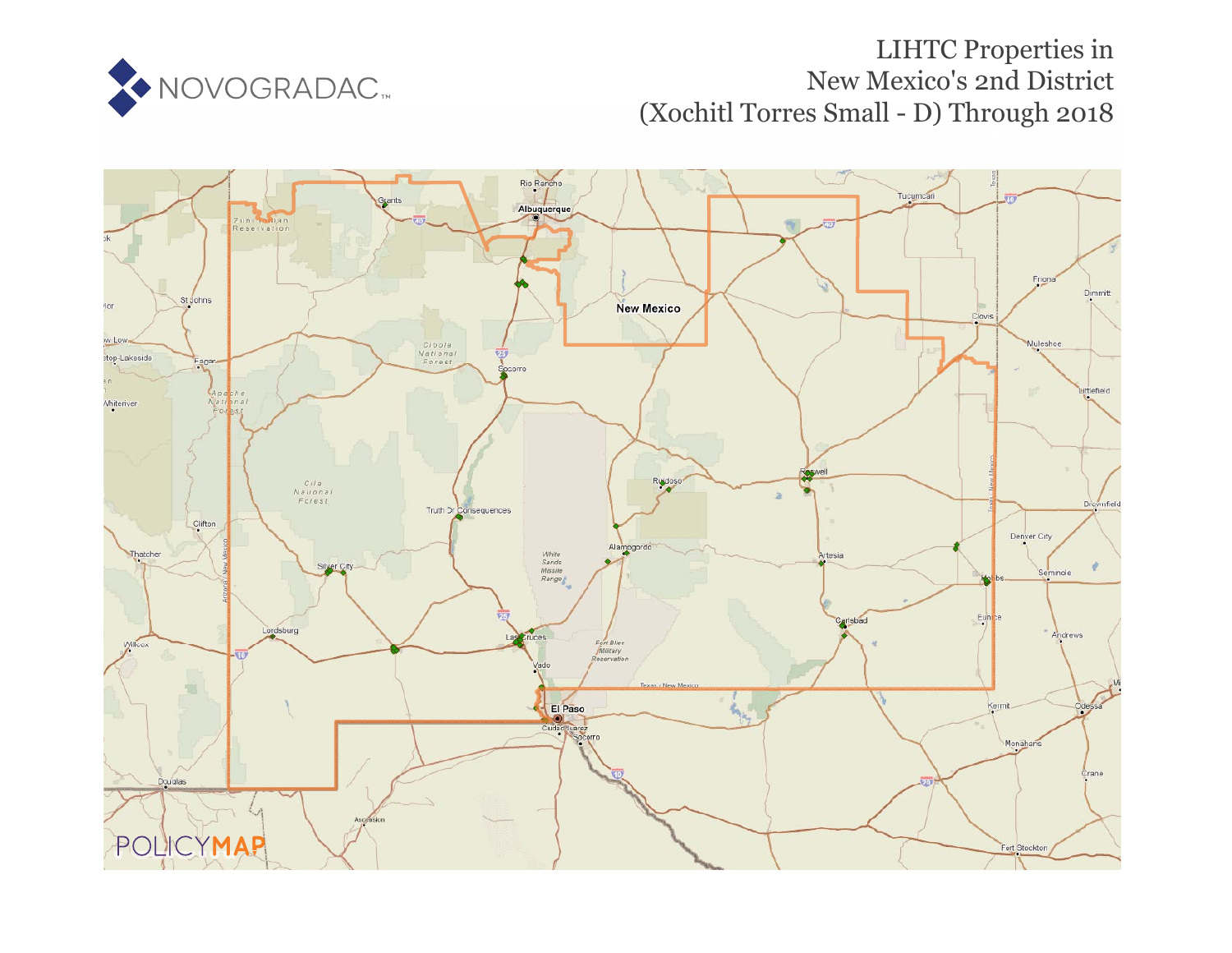

# LIHTC Properties in New Mexico's 2nd District (Xochitl Torres Small - D) Through 2018

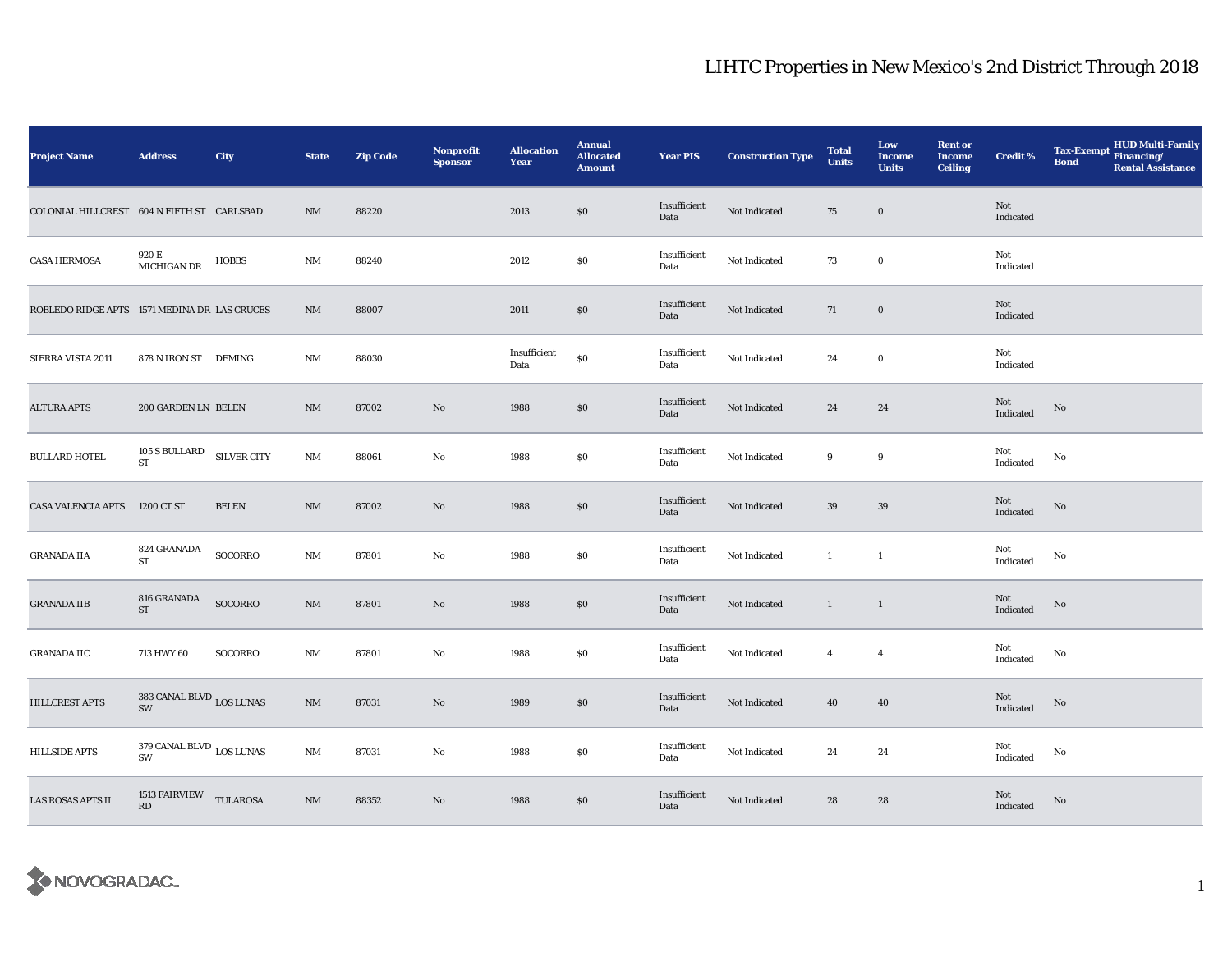| <b>Project Name</b>                          | <b>Address</b>                    | City               | <b>State</b>           | <b>Zip Code</b> | Nonprofit<br><b>Sponsor</b> | <b>Allocation</b><br>Year | <b>Annual</b><br><b>Allocated</b><br><b>Amount</b> | <b>Year PIS</b>      | <b>Construction Type</b> | <b>Total</b><br><b>Units</b> | Low<br><b>Income</b><br><b>Units</b> | <b>Rent or</b><br><b>Income</b><br><b>Ceiling</b> | <b>Credit %</b>  | <b>HUD Multi-Family</b><br>Tax-Exempt Financing/<br><b>Bond</b><br><b>Rental Assistance</b> |
|----------------------------------------------|-----------------------------------|--------------------|------------------------|-----------------|-----------------------------|---------------------------|----------------------------------------------------|----------------------|--------------------------|------------------------------|--------------------------------------|---------------------------------------------------|------------------|---------------------------------------------------------------------------------------------|
| COLONIAL HILLCREST 604 N FIFTH ST CARLSBAD   |                                   |                    | NM                     | 88220           |                             | 2013                      | \$0                                                | Insufficient<br>Data | Not Indicated            | 75                           | $\bf{0}$                             |                                                   | Not<br>Indicated |                                                                                             |
| <b>CASA HERMOSA</b>                          | 920 E<br>MICHIGAN DR              | <b>HOBBS</b>       | NM                     | 88240           |                             | 2012                      | $\$0$                                              | Insufficient<br>Data | Not Indicated            | 73                           | $\mathbf 0$                          |                                                   | Not<br>Indicated |                                                                                             |
| ROBLEDO RIDGE APTS 1571 MEDINA DR LAS CRUCES |                                   |                    | $\mathbf{N}\mathbf{M}$ | 88007           |                             | 2011                      | $\$0$                                              | Insufficient<br>Data | Not Indicated            | 71                           | $\mathbf 0$                          |                                                   | Not<br>Indicated |                                                                                             |
| SIERRA VISTA 2011                            | 878 N IRON ST DEMING              |                    | NM                     | 88030           |                             | Insufficient<br>Data      | $\$0$                                              | Insufficient<br>Data | Not Indicated            | 24                           | $\mathbf 0$                          |                                                   | Not<br>Indicated |                                                                                             |
| <b>ALTURA APTS</b>                           | 200 GARDEN LN BELEN               |                    | $\mathrm{NM}$          | 87002           | No                          | 1988                      | $\$0$                                              | Insufficient<br>Data | Not Indicated            | 24                           | 24                                   |                                                   | Not<br>Indicated | $\mathbf{N}\mathbf{o}$                                                                      |
| <b>BULLARD HOTEL</b>                         | 105 S BULLARD<br>ST               | <b>SILVER CITY</b> | $\mathbf{N}\mathbf{M}$ | 88061           | No                          | 1988                      | $\$0$                                              | Insufficient<br>Data | Not Indicated            | 9                            | $\boldsymbol{9}$                     |                                                   | Not<br>Indicated | No                                                                                          |
| <b>CASA VALENCIA APTS</b>                    | 1200 CT ST                        | <b>BELEN</b>       | $\mathbf{N}\mathbf{M}$ | 87002           | $\mathbf{No}$               | 1988                      | $\$0$                                              | Insufficient<br>Data | Not Indicated            | $39\,$                       | 39                                   |                                                   | Not<br>Indicated | $\rm No$                                                                                    |
| <b>GRANADA IIA</b>                           | 824 GRANADA<br><b>ST</b>          | SOCORRO            | NM                     | 87801           | No                          | 1988                      | \$0                                                | Insufficient<br>Data | Not Indicated            | $\mathbf{1}$                 | $\mathbf{1}$                         |                                                   | Not<br>Indicated | No                                                                                          |
| <b>GRANADA IIB</b>                           | 816 GRANADA<br><b>ST</b>          | SOCORRO            | $\mathrm{NM}$          | 87801           | $\mathbf{No}$               | 1988                      | $\$0$                                              | Insufficient<br>Data | Not Indicated            | $\mathbf{1}$                 | $\overline{1}$                       |                                                   | Not<br>Indicated | $\rm No$                                                                                    |
| <b>GRANADA IIC</b>                           | 713 HWY 60                        | SOCORRO            | $\mathbf{N}\mathbf{M}$ | 87801           | No                          | 1988                      | $\$0$                                              | Insufficient<br>Data | Not Indicated            | $\overline{4}$               | $\overline{4}$                       |                                                   | Not<br>Indicated | No                                                                                          |
| HILLCREST APTS                               | 383 CANAL BLVD $_{\rm LOS~LUNAS}$ |                    | $\rm{NM}$              | 87031           | $\mathbf{No}$               | 1989                      | $\$0$                                              | Insufficient<br>Data | Not Indicated            | 40                           | 40                                   |                                                   | Not<br>Indicated | $\rm No$                                                                                    |
| <b>HILLSIDE APTS</b>                         | 379 CANAL BLVD $_{\rm LOS~LUNAS}$ |                    | $\rm{NM}$              | 87031           | No                          | 1988                      | $\$0$                                              | Insufficient<br>Data | Not Indicated            | 24                           | 24                                   |                                                   | Not<br>Indicated | No                                                                                          |
| LAS ROSAS APTS II                            | 1513 FAIRVIEW TULAROSA<br>RD      |                    | $\rm{NM}$              | 88352           | $\mathbf{N}\mathbf{o}$      | 1988                      | \$0\$                                              | Insufficient<br>Data | Not Indicated            | 28                           | 28                                   |                                                   | Not<br>Indicated | $\rm No$                                                                                    |

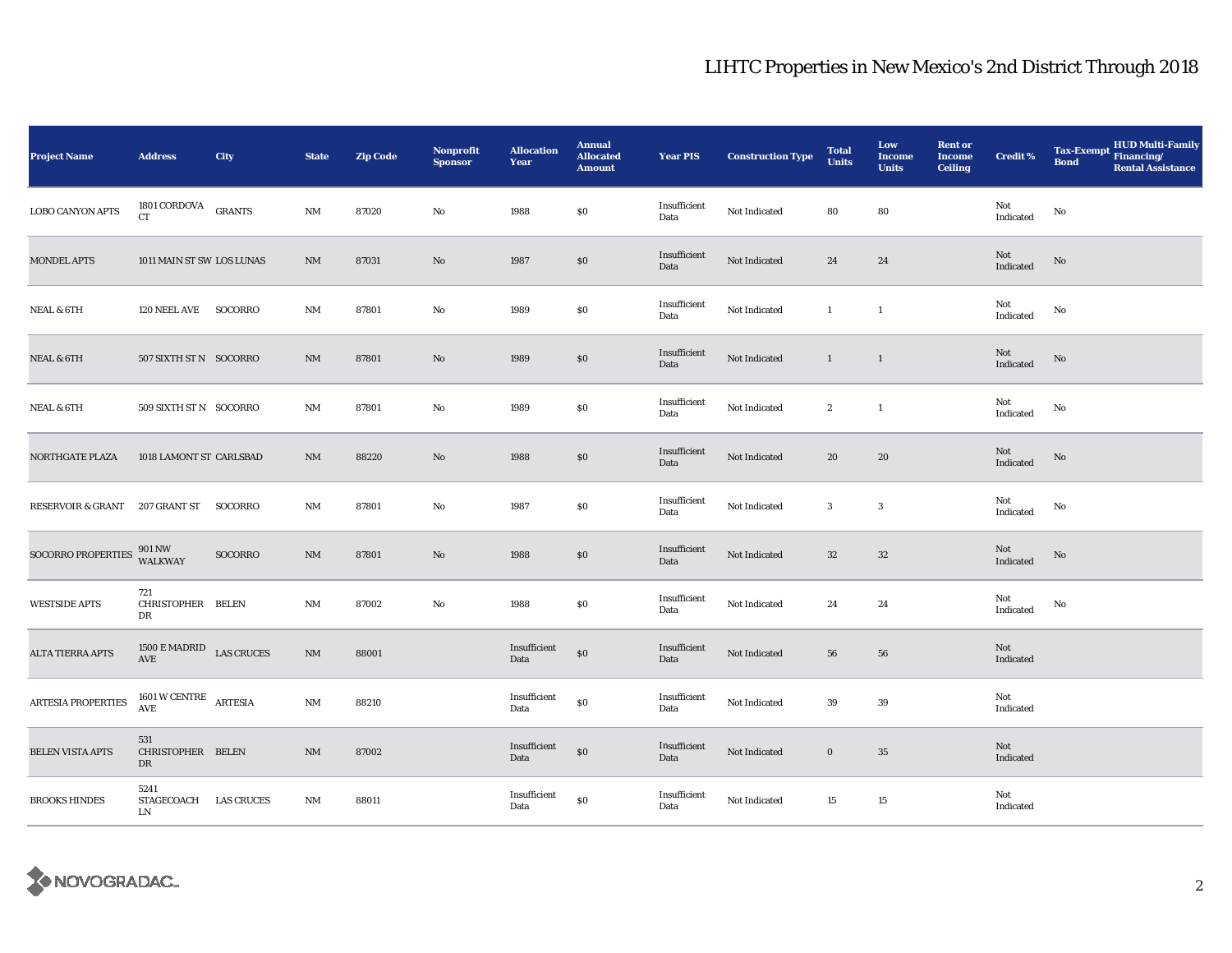| <b>Project Name</b>          | <b>Address</b>                                  | City          | <b>State</b>           | <b>Zip Code</b> | Nonprofit<br><b>Sponsor</b> | <b>Allocation</b><br>Year | <b>Annual</b><br><b>Allocated</b><br><b>Amount</b> | <b>Year PIS</b>      | <b>Construction Type</b> | <b>Total</b><br><b>Units</b> | Low<br><b>Income</b><br><b>Units</b> | <b>Rent or</b><br><b>Income</b><br><b>Ceiling</b> | <b>Credit %</b>                                   | <b>HUD Multi-Family</b><br>Tax-Exempt Financing/<br><b>Bond</b><br><b>Rental Assistance</b> |
|------------------------------|-------------------------------------------------|---------------|------------------------|-----------------|-----------------------------|---------------------------|----------------------------------------------------|----------------------|--------------------------|------------------------------|--------------------------------------|---------------------------------------------------|---------------------------------------------------|---------------------------------------------------------------------------------------------|
| <b>LOBO CANYON APTS</b>      | 1801 CORDOVA<br><b>CT</b>                       | <b>GRANTS</b> | $\mathbf{NM}$          | 87020           | $\rm No$                    | 1988                      | $\$0$                                              | Insufficient<br>Data | Not Indicated            | 80                           | 80                                   |                                                   | Not<br>Indicated                                  | No                                                                                          |
| <b>MONDEL APTS</b>           | 1011 MAIN ST SW LOS LUNAS                       |               | $\rm{NM}$              | 87031           | $\mathbf{No}$               | 1987                      | $\$0$                                              | Insufficient<br>Data | Not Indicated            | 24                           | ${\bf 24}$                           |                                                   | Not<br>Indicated                                  | No                                                                                          |
| <b>NEAL &amp; 6TH</b>        | 120 NEEL AVE                                    | SOCORRO       | $\mathbf{N}\mathbf{M}$ | 87801           | No                          | 1989                      | \$0                                                | Insufficient<br>Data | Not Indicated            | $\mathbf{1}$                 | $\mathbf{1}$                         |                                                   | Not<br>Indicated                                  | No                                                                                          |
| <b>NEAL &amp; 6TH</b>        | 507 SIXTH ST N SOCORRO                          |               | <b>NM</b>              | 87801           | No                          | 1989                      | \$0                                                | Insufficient<br>Data | Not Indicated            | $\mathbf{1}$                 | $\overline{1}$                       |                                                   | Not<br>Indicated                                  | No                                                                                          |
| <b>NEAL &amp; 6TH</b>        | 509 SIXTH ST N SOCORRO                          |               | $\rm{NM}$              | 87801           | No                          | 1989                      | $\$0$                                              | Insufficient<br>Data | Not Indicated            | $\boldsymbol{2}$             | $\mathbf{1}$                         |                                                   | Not<br>Indicated                                  | No                                                                                          |
| NORTHGATE PLAZA              | 1018 LAMONT ST CARLSBAD                         |               | $\rm{NM}$              | 88220           | $\mathbf{N}\mathbf{o}$      | 1988                      | $\$0$                                              | Insufficient<br>Data | Not Indicated            | 20                           | 20                                   |                                                   | Not<br>Indicated                                  | $\rm No$                                                                                    |
| <b>RESERVOIR &amp; GRANT</b> | 207 GRANT ST                                    | SOCORRO       | $\rm{NM}$              | 87801           | $\mathbf{No}$               | 1987                      | $\$0$                                              | Insufficient<br>Data | Not Indicated            | $\mathbf{3}$                 | $\sqrt{3}$                           |                                                   | Not<br>Indicated                                  | No                                                                                          |
| SOCORRO PROPERTIES           | 901 NW<br><b>WALKWAY</b>                        | SOCORRO       | $\mathbf{N}\mathbf{M}$ | 87801           | No                          | 1988                      | \$0                                                | Insufficient<br>Data | Not Indicated            | $32\,$                       | $32\,$                               |                                                   | Not<br>$\label{thm:indicated} \textbf{Indicated}$ | $\rm No$                                                                                    |
| <b>WESTSIDE APTS</b>         | 721<br>CHRISTOPHER BELEN<br>DR                  |               | $\mathbf{NM}$          | 87002           | No                          | 1988                      | $\$0$                                              | Insufficient<br>Data | Not Indicated            | 24                           | 24                                   |                                                   | Not<br>Indicated                                  | No                                                                                          |
| ALTA TIERRA APTS             | 1500 E MADRID LAS CRUCES<br>AVE                 |               | $\rm{NM}$              | 88001           |                             | Insufficient<br>Data      | $\$0$                                              | Insufficient<br>Data | Not Indicated            | ${\bf 56}$                   | 56                                   |                                                   | Not<br>Indicated                                  |                                                                                             |
| ARTESIA PROPERTIES           | $1601\,\mathrm{W}\,\mathrm{CENTRE}$ ARTESIA AVE |               | $\mathbf{NM}$          | 88210           |                             | Insufficient<br>Data      | $\$0$                                              | Insufficient<br>Data | Not Indicated            | 39                           | $\bf 39$                             |                                                   | Not<br>Indicated                                  |                                                                                             |
| BELEN VISTA APTS             | 531<br>CHRISTOPHER BELEN<br>DR                  |               | $\mathbf{N}\mathbf{M}$ | 87002           |                             | Insufficient<br>Data      | $\$0$                                              | Insufficient<br>Data | Not Indicated            | $\mathbf 0$                  | $35\,$                               |                                                   | Not<br>Indicated                                  |                                                                                             |
| <b>BROOKS HINDES</b>         | 5241<br>STAGECOACH LAS CRUCES<br>LN             |               | $\rm{NM}$              | 88011           |                             | Insufficient<br>Data      | $\$0$                                              | Insufficient<br>Data | Not Indicated            | 15                           | 15                                   |                                                   | Not<br>Indicated                                  |                                                                                             |

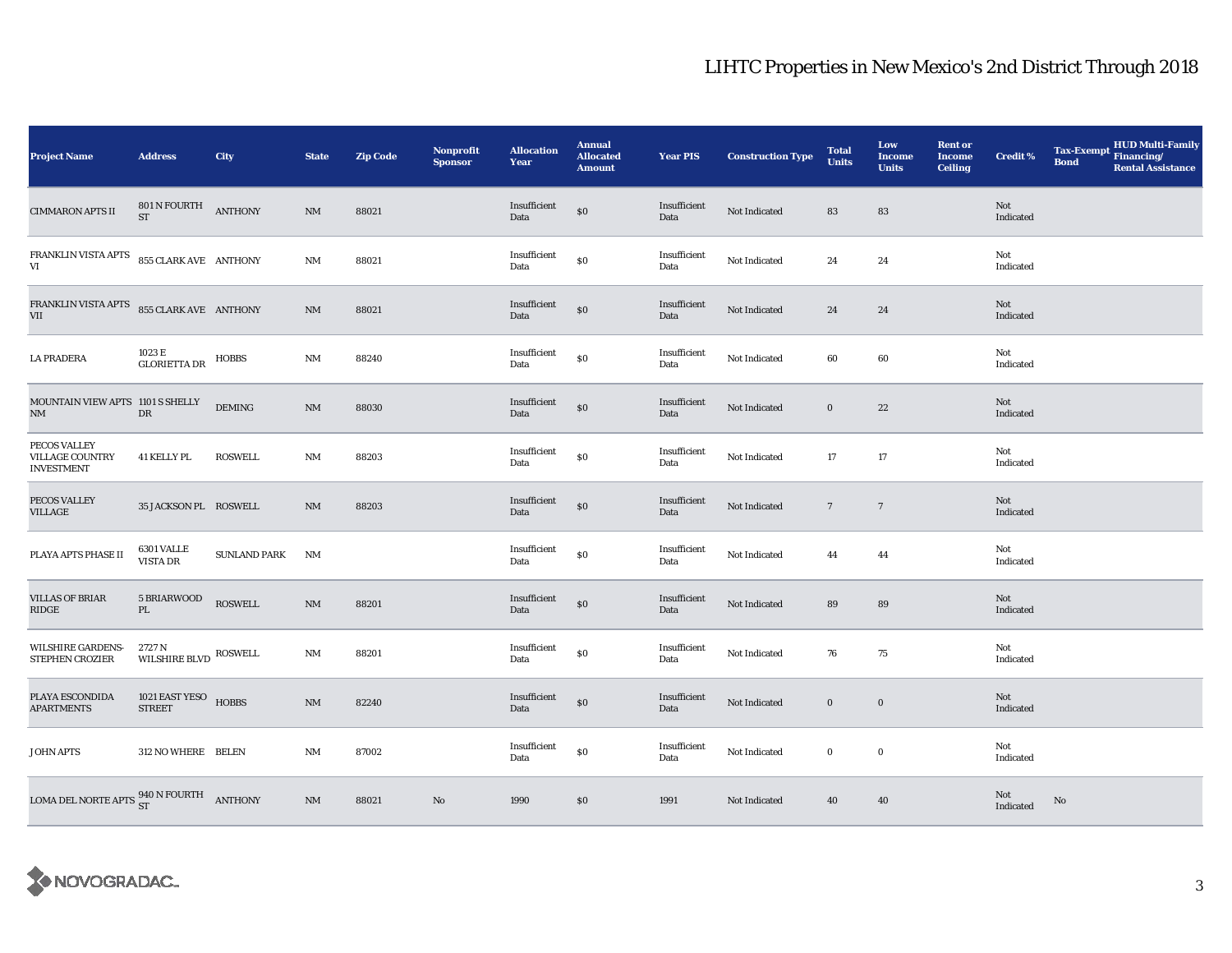| <b>Project Name</b>                                                                                                                                 | <b>Address</b>                                       | City                | <b>State</b>           | <b>Zip Code</b> | Nonprofit<br><b>Sponsor</b> | <b>Allocation</b><br>Year | <b>Annual</b><br><b>Allocated</b><br><b>Amount</b> | <b>Year PIS</b>      | <b>Construction Type</b> | <b>Total</b><br><b>Units</b> | Low<br><b>Income</b><br><b>Units</b> | <b>Rent or</b><br><b>Income</b><br><b>Ceiling</b> | <b>Credit %</b>  | <b>Bond</b> | Tax-Exempt HUD Multi-Family<br><b>Rental Assistance</b> |
|-----------------------------------------------------------------------------------------------------------------------------------------------------|------------------------------------------------------|---------------------|------------------------|-----------------|-----------------------------|---------------------------|----------------------------------------------------|----------------------|--------------------------|------------------------------|--------------------------------------|---------------------------------------------------|------------------|-------------|---------------------------------------------------------|
| <b>CIMMARON APTS II</b>                                                                                                                             | $801$ N FOURTH $\quad$ ANTHONY<br><b>ST</b>          |                     | NM                     | 88021           |                             | Insufficient<br>Data      | \$0                                                | Insufficient<br>Data | Not Indicated            | 83                           | 83                                   |                                                   | Not<br>Indicated |             |                                                         |
| FRANKLIN VISTA APTS 855 CLARK AVE ANTHONY<br>VI                                                                                                     |                                                      |                     | $\rm{NM}$              | 88021           |                             | Insufficient<br>Data      | \$0                                                | Insufficient<br>Data | Not Indicated            | 24                           | 24                                   |                                                   | Not<br>Indicated |             |                                                         |
| FRANKLIN VISTA APTS 855 CLARK AVE ANTHONY<br><b>VII</b>                                                                                             |                                                      |                     | NM                     | 88021           |                             | Insufficient<br>Data      | $\boldsymbol{\mathsf{S}}\boldsymbol{\mathsf{0}}$   | Insufficient<br>Data | Not Indicated            | 24                           | 24                                   |                                                   | Not<br>Indicated |             |                                                         |
| <b>LA PRADERA</b>                                                                                                                                   | $1023\,\mathrm{E}$ $$\,\mathrm{HOBBS}$$ GLORIETTA DR |                     | NM                     | 88240           |                             | Insufficient<br>Data      | $\$0$                                              | Insufficient<br>Data | Not Indicated            | 60                           | 60                                   |                                                   | Not<br>Indicated |             |                                                         |
| MOUNTAIN VIEW APTS 1101 S SHELLY<br>$\mathbf{NM}$                                                                                                   | ${\rm DR}$                                           | $\mathbf{DEMING}$   | $\rm{NM}$              | 88030           |                             | Insufficient<br>Data      | \$0                                                | Insufficient<br>Data | Not Indicated            | $\bf{0}$                     | $\bf 22$                             |                                                   | Not<br>Indicated |             |                                                         |
| PECOS VALLEY<br><b>VILLAGE COUNTRY</b><br><b>INVESTMENT</b>                                                                                         | <b>41 KELLY PL</b>                                   | <b>ROSWELL</b>      | $\rm{NM}$              | 88203           |                             | Insufficient<br>Data      | $\$0$                                              | Insufficient<br>Data | Not Indicated            | 17                           | 17                                   |                                                   | Not<br>Indicated |             |                                                         |
| PECOS VALLEY<br><b>VILLAGE</b>                                                                                                                      | 35 JACKSON PL ROSWELL                                |                     | NM                     | 88203           |                             | Insufficient<br>Data      | $\$0$                                              | Insufficient<br>Data | Not Indicated            | $7\phantom{.0}$              | $\overline{7}$                       |                                                   | Not<br>Indicated |             |                                                         |
| PLAYA APTS PHASE II                                                                                                                                 | 6301 VALLE<br><b>VISTA DR</b>                        | <b>SUNLAND PARK</b> | NM                     |                 |                             | Insufficient<br>Data      | $\$0$                                              | Insufficient<br>Data | Not Indicated            | 44                           | 44                                   |                                                   | Not<br>Indicated |             |                                                         |
| <b>VILLAS OF BRIAR</b><br>RIDGE                                                                                                                     | 5 BRIARWOOD<br>PL                                    | <b>ROSWELL</b>      | $\rm{NM}$              | 88201           |                             | Insufficient<br>Data      | \$0                                                | Insufficient<br>Data | Not Indicated            | 89                           | 89                                   |                                                   | Not<br>Indicated |             |                                                         |
| WILSHIRE GARDENS-<br><b>STEPHEN CROZIER</b>                                                                                                         | 2727 N<br>WILSHIRE BLVD $\,$ ROSWELL                 |                     | $\rm{NM}$              | 88201           |                             | Insufficient<br>Data      | $\$0$                                              | Insufficient<br>Data | Not Indicated            | 76                           | 75                                   |                                                   | Not<br>Indicated |             |                                                         |
| PLAYA ESCONDIDA<br><b>APARTMENTS</b>                                                                                                                | 1021 EAST YESO HOBBS<br><b>STREET</b>                |                     | $\rm{NM}$              | 82240           |                             | Insufficient<br>Data      | $\$0$                                              | Insufficient<br>Data | Not Indicated            | $\bf{0}$                     | $\bf{0}$                             |                                                   | Not<br>Indicated |             |                                                         |
| JOHN APTS                                                                                                                                           | 312 NO WHERE BELEN                                   |                     | $\rm{NM}$              | 87002           |                             | Insufficient<br>Data      | \$0                                                | Insufficient<br>Data | Not Indicated            | $\bf{0}$                     | $\mathbf 0$                          |                                                   | Not<br>Indicated |             |                                                         |
| $\begin{tabular}{ll} \textbf{LOMA DEL \, NORTE \, APTS } & 940 \, \textbf{N} \, \textbf{FOURT} \, \\ \textbf{ST} & \textbf{ANTHONY } \end{tabular}$ |                                                      |                     | $\mathbf{N}\mathbf{M}$ | 88021           | $\mathbf{No}$               | 1990                      | \$0                                                | 1991                 | Not Indicated            | 40                           | 40                                   |                                                   | Not<br>Indicated | No          |                                                         |

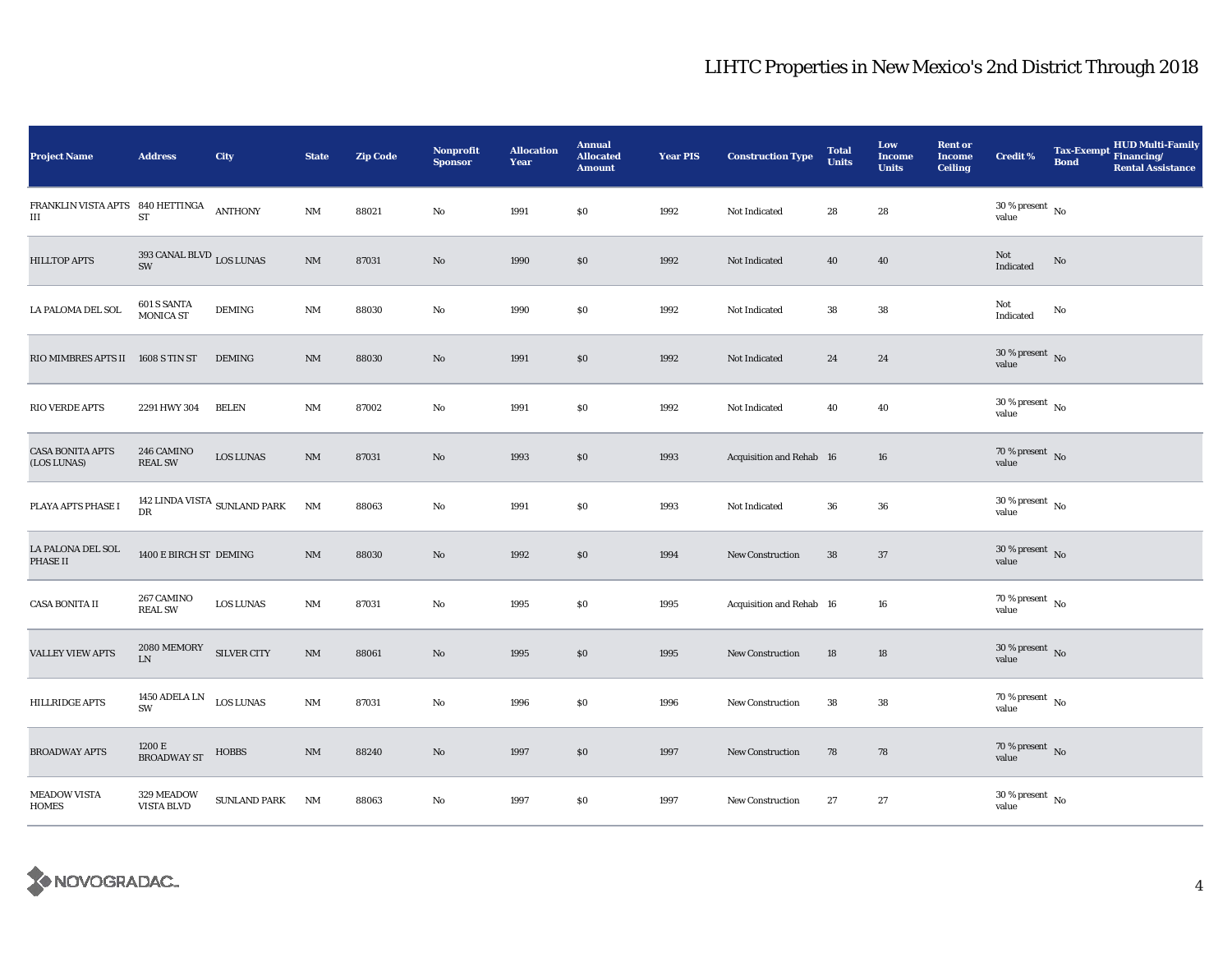| <b>Project Name</b>                    | <b>Address</b>                                    | City                                  | <b>State</b>           | <b>Zip Code</b> | <b>Nonprofit</b><br><b>Sponsor</b> | <b>Allocation</b><br>Year | <b>Annual</b><br><b>Allocated</b><br><b>Amount</b> | <b>Year PIS</b> | <b>Construction Type</b> | <b>Total</b><br><b>Units</b> | Low<br><b>Income</b><br><b>Units</b> | <b>Rent or</b><br>Income<br><b>Ceiling</b> | <b>Credit %</b>                    | <b>Bond</b> | <b>HUD Multi-Family</b><br>Tax-Exempt Financing/<br><b>Rental Assistance</b> |
|----------------------------------------|---------------------------------------------------|---------------------------------------|------------------------|-----------------|------------------------------------|---------------------------|----------------------------------------------------|-----------------|--------------------------|------------------------------|--------------------------------------|--------------------------------------------|------------------------------------|-------------|------------------------------------------------------------------------------|
| FRANKLIN VISTA APTS 840 HETTINGA<br>Ш  | ST                                                | <b>ANTHONY</b>                        | NM                     | 88021           | No                                 | 1991                      | \$0                                                | 1992            | Not Indicated            | 28                           | 28                                   |                                            | $30\,\%$ present $\,$ No value     |             |                                                                              |
| <b>HILLTOP APTS</b>                    | 393 CANAL BLVD LOS LUNAS<br>SW                    |                                       | $\rm{NM}$              | 87031           | No                                 | 1990                      | \$0                                                | 1992            | Not Indicated            | 40                           | 40                                   |                                            | Not<br>Indicated                   | $\rm No$    |                                                                              |
| LA PALOMA DEL SOL                      | 601 S SANTA<br>MONICA ST                          | <b>DEMING</b>                         | $\mathbf{N}\mathbf{M}$ | 88030           | No                                 | 1990                      | \$0                                                | 1992            | Not Indicated            | 38                           | 38                                   |                                            | Not<br>Indicated                   | No          |                                                                              |
| RIO MIMBRES APTS II 1608 S TIN ST      |                                                   | <b>DEMING</b>                         | $\rm{NM}$              | 88030           | $\mathbf {No}$                     | 1991                      | \$0                                                | 1992            | Not Indicated            | 24                           | 24                                   |                                            | $30\,\%$ present $\,$ No value     |             |                                                                              |
| RIO VERDE APTS                         | 2291 HWY 304                                      | <b>BELEN</b>                          | $\rm{NM}$              | 87002           | No                                 | 1991                      | \$0                                                | 1992            | Not Indicated            | 40                           | 40                                   |                                            | $30\,\%$ present $\,$ No value     |             |                                                                              |
| <b>CASA BONITA APTS</b><br>(LOS LUNAS) | 246 CAMINO<br><b>REAL SW</b>                      | <b>LOS LUNAS</b>                      | $\rm{NM}$              | 87031           | No                                 | 1993                      | \$0                                                | 1993            | Acquisition and Rehab 16 |                              | 16                                   |                                            | $70\,\%$ present $\,$ No value     |             |                                                                              |
| PLAYA APTS PHASE I                     | DR                                                | 142 LINDA VISTA $_{\rm SUNLAND}$ PARK | NM                     | 88063           | No                                 | 1991                      | \$0                                                | 1993            | Not Indicated            | 36                           | 36                                   |                                            | $30\,\%$ present $\,$ No value     |             |                                                                              |
| LA PALONA DEL SOL<br>PHASE II          | 1400 E BIRCH ST DEMING                            |                                       | $\mathrm{NM}$          | 88030           | $\mathbf{N}\mathbf{o}$             | 1992                      | \$0                                                | 1994            | <b>New Construction</b>  | 38                           | 37                                   |                                            | $30\,\%$ present $\,$ No value     |             |                                                                              |
| <b>CASA BONITA II</b>                  | 267 CAMINO<br><b>REAL SW</b>                      | <b>LOS LUNAS</b>                      | $\mathbf{N}\mathbf{M}$ | 87031           | No                                 | 1995                      | \$0                                                | 1995            | Acquisition and Rehab 16 |                              | 16                                   |                                            | 70 % present $\hbox{~No}$<br>value |             |                                                                              |
| <b>VALLEY VIEW APTS</b>                | $2080\,\mathrm{MEMORY}$ SILVER CITY<br>${\rm LN}$ |                                       | $\rm{NM}$              | 88061           | No                                 | 1995                      | \$0                                                | 1995            | New Construction         | 18                           | 18                                   |                                            | $30\,\%$ present $\,$ No value     |             |                                                                              |
| <b>HILLRIDGE APTS</b>                  | 1450 ADELA LN $_{\rm LOS~LUNAS}$<br>SW            |                                       | $\mathbf{N}\mathbf{M}$ | 87031           | No                                 | 1996                      | $\$0$                                              | 1996            | New Construction         | 38                           | 38                                   |                                            | 70 % present $\hbox{~No}$<br>value |             |                                                                              |
| <b>BROADWAY APTS</b>                   | 1200 E<br>BROADWAY ST                             | <b>HOBBS</b>                          | $\mathrm{NM}$          | 88240           | No                                 | 1997                      | $\$0$                                              | 1997            | <b>New Construction</b>  | 78                           | 78                                   |                                            | 70 % present $\hbox{~No}$<br>value |             |                                                                              |
| <b>MEADOW VISTA</b><br><b>HOMES</b>    | 329 MEADOW<br>VISTA BLVD                          | <b>SUNLAND PARK</b>                   | NM                     | 88063           | No                                 | 1997                      | \$0                                                | 1997            | New Construction         | 27                           | $\bf 27$                             |                                            | $30\,\%$ present $\,$ No value     |             |                                                                              |

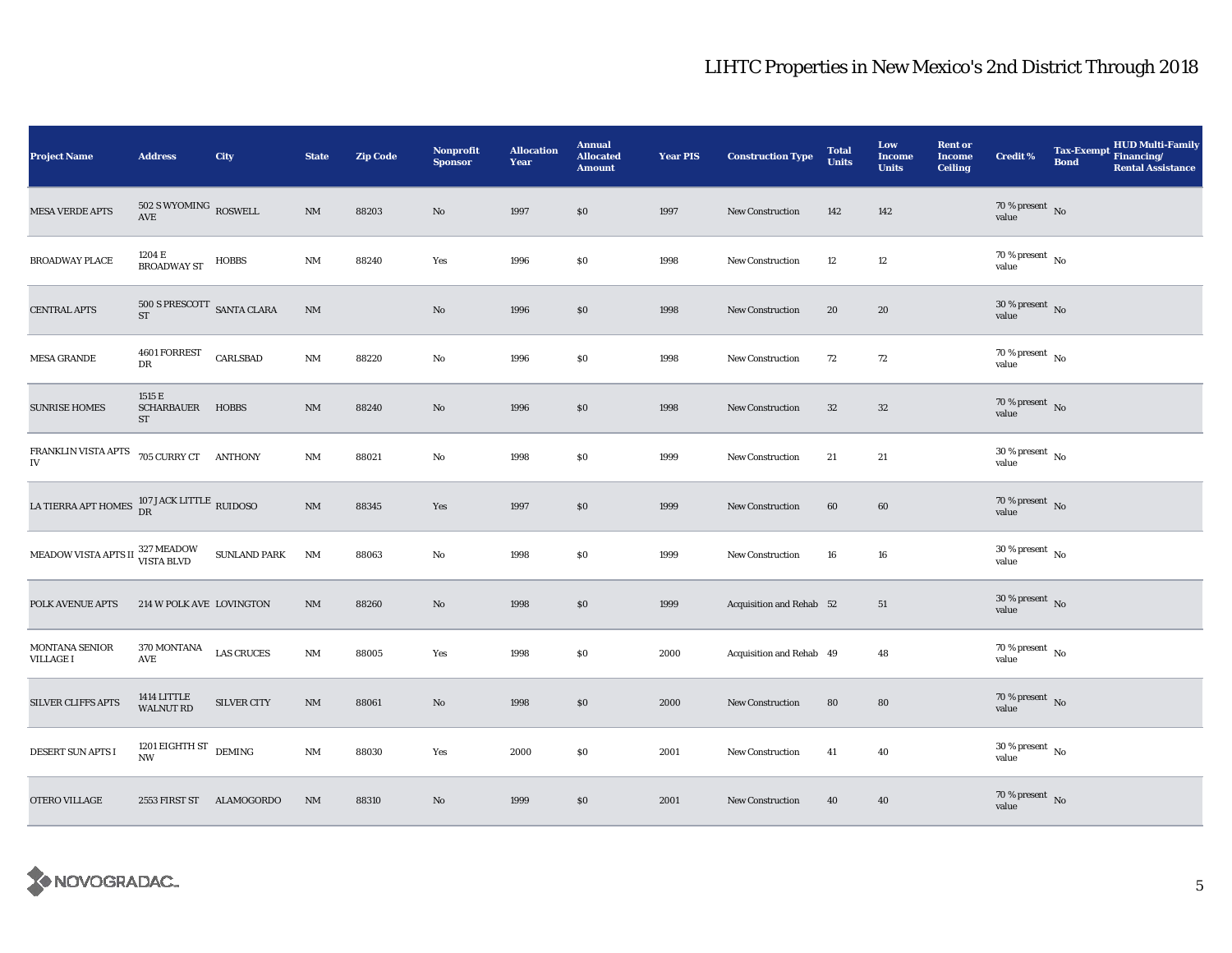| <b>Project Name</b>                                                 | <b>Address</b>                                       | City                | <b>State</b> | <b>Zip Code</b> | <b>Nonprofit</b><br><b>Sponsor</b> | <b>Allocation</b><br>Year | <b>Annual</b><br><b>Allocated</b><br><b>Amount</b> | <b>Year PIS</b> | <b>Construction Type</b> | <b>Total</b><br><b>Units</b> | Low<br><b>Income</b><br><b>Units</b> | <b>Rent or</b><br>Income<br><b>Ceiling</b> | <b>Credit %</b>                          | <b>Bond</b> | <b>HUD Multi-Family</b><br>Tax-Exempt Financing/<br><b>Rental Assistance</b> |
|---------------------------------------------------------------------|------------------------------------------------------|---------------------|--------------|-----------------|------------------------------------|---------------------------|----------------------------------------------------|-----------------|--------------------------|------------------------------|--------------------------------------|--------------------------------------------|------------------------------------------|-------------|------------------------------------------------------------------------------|
| <b>MESA VERDE APTS</b>                                              | $502$ S WYOMING $\,$ ROSWELL<br>$\operatorname{AVE}$ |                     | $\rm{NM}$    | 88203           | No                                 | 1997                      | \$0                                                | 1997            | <b>New Construction</b>  | 142                          | 142                                  |                                            | $70\,\%$ present $\,$ No value           |             |                                                                              |
| <b>BROADWAY PLACE</b>                                               | 1204 E<br><b>BROADWAY ST</b>                         | <b>HOBBS</b>        | $\rm{NM}$    | 88240           | Yes                                | 1996                      | \$0                                                | 1998            | <b>New Construction</b>  | 12                           | 12                                   |                                            | $70\%$ present $\overline{N_0}$<br>value |             |                                                                              |
| <b>CENTRAL APTS</b>                                                 | $500$ S PRESCOTT $\,$ SANTA CLARA<br>$ST$            |                     | $\rm{NM}$    |                 | No                                 | 1996                      | \$0                                                | 1998            | <b>New Construction</b>  | 20                           | 20                                   |                                            | $30\,\%$ present $\,$ No value           |             |                                                                              |
| <b>MESA GRANDE</b>                                                  | 4601 FORREST<br>DR                                   | <b>CARLSBAD</b>     | NM           | 88220           | No                                 | 1996                      | \$0                                                | 1998            | <b>New Construction</b>  | 72                           | 72                                   |                                            | $70\,\%$ present $\,$ No value           |             |                                                                              |
| <b>SUNRISE HOMES</b>                                                | 1515 E<br>SCHARBAUER HOBBS<br>ST                     |                     | $\rm{NM}$    | 88240           | No                                 | 1996                      | $\$0$                                              | 1998            | New Construction         | $32\,$                       | $32\,$                               |                                            | $70\,\%$ present $\,$ No value           |             |                                                                              |
| FRANKLIN VISTA APTS<br>IV                                           | 705 CURRY CT ANTHONY                                 |                     | $\rm{NM}$    | 88021           | No                                 | 1998                      | \$0                                                | 1999            | <b>New Construction</b>  | 21                           | 21                                   |                                            | $30\,\%$ present $_{\, \rm No}$<br>value |             |                                                                              |
| LA TIERRA APT HOMES $_{\rm DR}^{107 \, \rm JACK \, LITILE}$ RUIDOSO |                                                      |                     | $\rm{NM}$    | 88345           | Yes                                | 1997                      | $\$0$                                              | 1999            | <b>New Construction</b>  | 60                           | 60                                   |                                            | $70\,\%$ present $\,$ No value           |             |                                                                              |
| MEADOW VISTA APTS II $_{\rm VISTA}^{327\rm\, MEADOW}$               |                                                      | <b>SUNLAND PARK</b> | NM           | 88063           | No                                 | 1998                      | $\$0$                                              | 1999            | <b>New Construction</b>  | 16                           | 16                                   |                                            | $30\,\%$ present $\,$ No value           |             |                                                                              |
| POLK AVENUE APTS                                                    | 214 W POLK AVE LOVINGTON                             |                     | $\rm{NM}$    | 88260           | No                                 | 1998                      | \$0                                                | 1999            | Acquisition and Rehab 52 |                              | 51                                   |                                            | 30 % present $\overline{N}$<br>value     |             |                                                                              |
| MONTANA SENIOR<br><b>VILLAGE I</b>                                  | 370 MONTANA<br>AVE                                   | <b>LAS CRUCES</b>   | $\rm{NM}$    | 88005           | Yes                                | 1998                      | \$0                                                | 2000            | Acquisition and Rehab 49 |                              | 48                                   |                                            | 70 % present $\hbox{~No}$<br>value       |             |                                                                              |
| <b>SILVER CLIFFS APTS</b>                                           | 1414 LITTLE<br><b>WALNUT RD</b>                      | <b>SILVER CITY</b>  | $\rm{NM}$    | 88061           | No                                 | 1998                      | \$0                                                | 2000            | <b>New Construction</b>  | 80                           | 80                                   |                                            | $70\,\%$ present $\,$ No value           |             |                                                                              |
| DESERT SUN APTS I                                                   | 1201 EIGHTH ST $$\rm{DEMING}$$<br><b>NW</b>          |                     | $\rm{NM}$    | 88030           | Yes                                | 2000                      | \$0                                                | 2001            | <b>New Construction</b>  | 41                           | 40                                   |                                            | $30$ % present $\,$ No $\,$<br>value     |             |                                                                              |
| OTERO VILLAGE                                                       | 2553 FIRST ST ALAMOGORDO                             |                     | NM           | 88310           | $\mathbf{N}\mathbf{o}$             | 1999                      | \$0                                                | 2001            | New Construction         | 40                           | 40                                   |                                            | $70\,\%$ present $\,$ No value           |             |                                                                              |

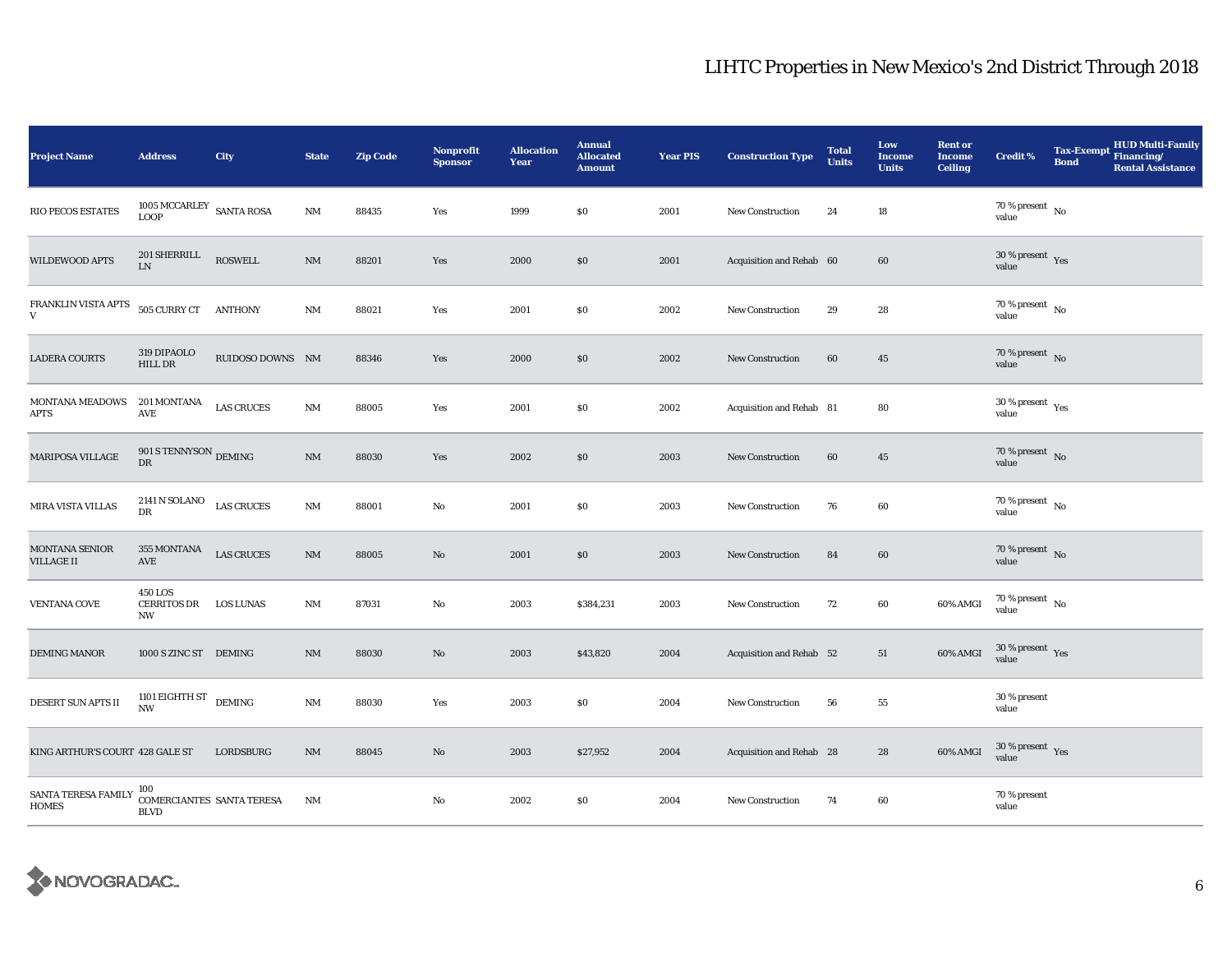| <b>Project Name</b>                 | <b>Address</b>                                        | City              | <b>State</b>           | <b>Zip Code</b> | <b>Nonprofit</b><br><b>Sponsor</b> | <b>Allocation</b><br>Year | <b>Annual</b><br><b>Allocated</b><br><b>Amount</b> | <b>Year PIS</b> | <b>Construction Type</b> | <b>Total</b><br><b>Units</b> | Low<br><b>Income</b><br><b>Units</b> | <b>Rent or</b><br><b>Income</b><br><b>Ceiling</b> | <b>Credit %</b>                          | <b>Bond</b> | <b>HUD Multi-Family</b><br>Tax-Exempt Financing/<br><b>Rental Assistance</b> |
|-------------------------------------|-------------------------------------------------------|-------------------|------------------------|-----------------|------------------------------------|---------------------------|----------------------------------------------------|-----------------|--------------------------|------------------------------|--------------------------------------|---------------------------------------------------|------------------------------------------|-------------|------------------------------------------------------------------------------|
| RIO PECOS ESTATES                   | $1005\,\mathrm{MCCARLEY}\;$ SANTA ROSA<br><b>LOOP</b> |                   | $\mathbf{N}\mathbf{M}$ | 88435           | Yes                                | 1999                      | \$0\$                                              | 2001            | <b>New Construction</b>  | 24                           | $18\,$                               |                                                   | 70 % present $\hbox{~No}$<br>value       |             |                                                                              |
| WILDEWOOD APTS                      | 201 SHERRILL<br>${\rm LN}$                            | ROSWELL           | $\mathbf{N}\mathbf{M}$ | 88201           | Yes                                | 2000                      | \$0                                                | 2001            | Acquisition and Rehab 60 |                              | 60                                   |                                                   | $30\,\%$ present $\,$ $\rm Yes$<br>value |             |                                                                              |
| FRANKLIN VISTA APTS<br>V            | 505 CURRY CT ANTHONY                                  |                   | $\mathbf{NM}$          | 88021           | Yes                                | 2001                      | \$0\$                                              | 2002            | New Construction         | 29                           | 28                                   |                                                   | 70 % present $\hbox{~No}$<br>value       |             |                                                                              |
| <b>LADERA COURTS</b>                | 319 DIPAOLO<br><b>HILL DR</b>                         | RUIDOSO DOWNS NM  |                        | 88346           | Yes                                | 2000                      | \$0                                                | 2002            | New Construction         | 60                           | 45                                   |                                                   | $70\,\%$ present $\,$ No value           |             |                                                                              |
| MONTANA MEADOWS<br><b>APTS</b>      | 201 MONTANA<br>$\operatorname{AVE}$                   | <b>LAS CRUCES</b> | NM                     | 88005           | Yes                                | 2001                      | \$0                                                | 2002            | Acquisition and Rehab 81 |                              | 80                                   |                                                   | $30\,\%$ present $\,$ Yes value          |             |                                                                              |
| MARIPOSA VILLAGE                    | 901 S TENNYSON $_{\rm DEMING}$<br>DR                  |                   | $\mathbf{NM}$          | 88030           | Yes                                | 2002                      | \$0                                                | 2003            | New Construction         | 60                           | $45\,$                               |                                                   | 70 % present $\,$ No $\,$<br>value       |             |                                                                              |
| <b>MIRA VISTA VILLAS</b>            | 2141 N SOLANO LAS CRUCES<br>DR                        |                   | $\mathbf{NM}$          | 88001           | $\mathbf{No}$                      | 2001                      | \$0                                                | 2003            | New Construction         | 76                           | 60                                   |                                                   | 70 % present $\hbox{~No}$<br>value       |             |                                                                              |
| MONTANA SENIOR<br><b>VILLAGE II</b> | 355 MONTANA<br>$\operatorname{AVE}$                   | <b>LAS CRUCES</b> | $\mathbf{NM}$          | 88005           | $\mathbf{N}\mathbf{o}$             | 2001                      | $\$0$                                              | 2003            | New Construction         | 84                           | 60                                   |                                                   | 70 % present $\sqrt{\ }$ No<br>value     |             |                                                                              |
| <b>VENTANA COVE</b>                 | 450 LOS<br>CERRITOS DR LOS LUNAS<br>NW                |                   | NM                     | 87031           | No                                 | 2003                      | \$384,231                                          | 2003            | New Construction         | 72                           | 60                                   | 60% AMGI                                          | $70\,\%$ present $\,$ No value           |             |                                                                              |
| <b>DEMING MANOR</b>                 | 1000 S ZINC ST DEMING                                 |                   | NM                     | 88030           | No                                 | 2003                      | \$43,820                                           | 2004            | Acquisition and Rehab 52 |                              | 51                                   | 60% AMGI                                          | $30\,\%$ present $\,$ Yes value          |             |                                                                              |
| DESERT SUN APTS II                  | 1101 EIGHTH ST $$\rm{DEMING}$$<br><b>NW</b>           |                   | NM                     | 88030           | Yes                                | 2003                      | \$0\$                                              | 2004            | <b>New Construction</b>  | 56                           | ${\bf 55}$                           |                                                   | 30 % present<br>value                    |             |                                                                              |
| KING ARTHUR'S COURT 428 GALE ST     |                                                       | LORDSBURG         | $\rm{NM}$              | 88045           | No                                 | 2003                      | \$27,952                                           | 2004            | Acquisition and Rehab 28 |                              | 28                                   | 60% AMGI                                          | $30\,\%$ present $\,$ Yes value          |             |                                                                              |
| SANTA TERESA FAMILY<br><b>HOMES</b> | 100<br>COMERCIANTES SANTA TERESA<br><b>BLVD</b>       |                   | NM                     |                 | No                                 | 2002                      | \$0\$                                              | 2004            | New Construction         | 74                           | 60                                   |                                                   | 70 % present<br>value                    |             |                                                                              |

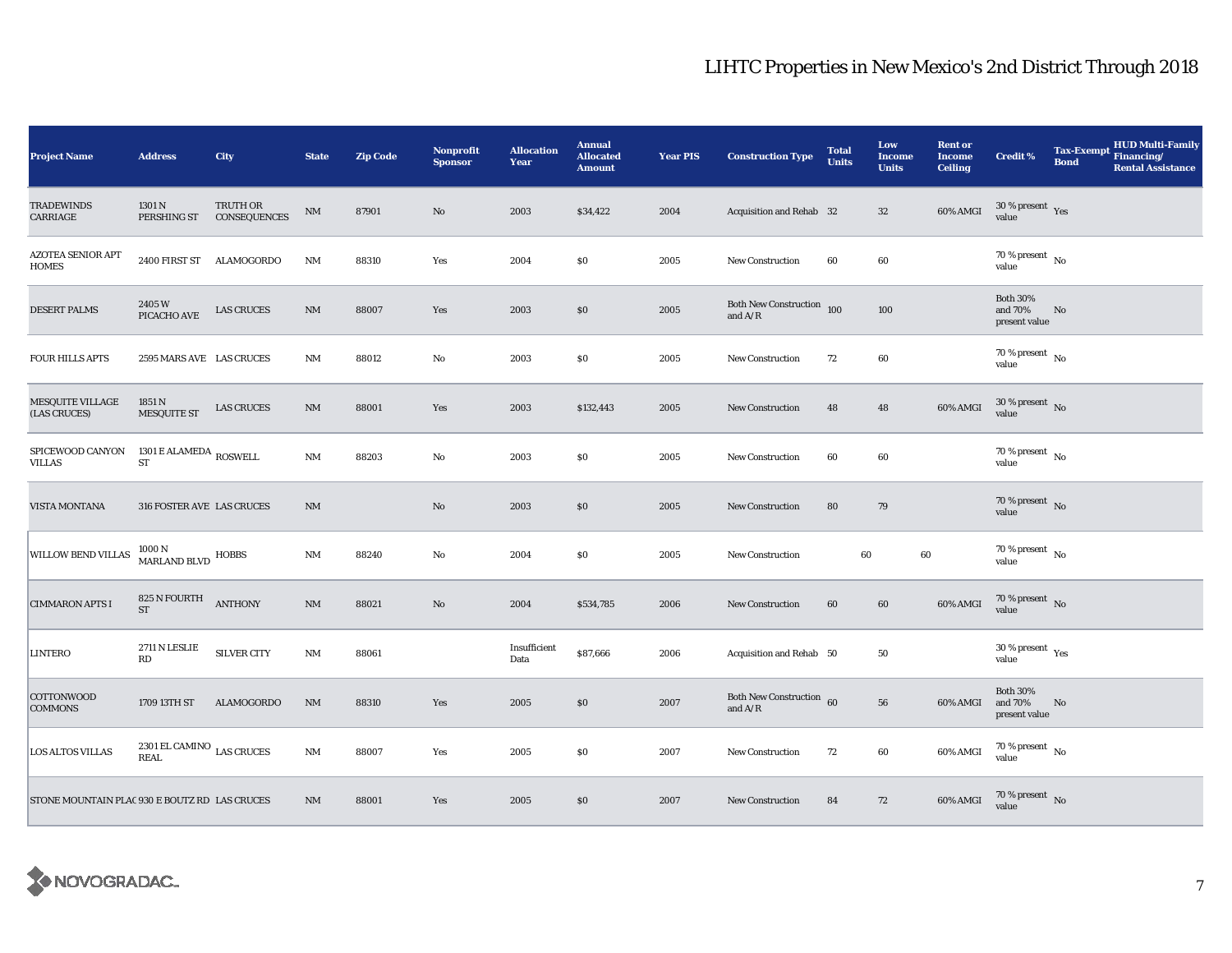| <b>Project Name</b>                           | <b>Address</b>                                 | City                     | <b>State</b>           | <b>Zip Code</b> | <b>Nonprofit</b><br><b>Sponsor</b> | <b>Allocation</b><br>Year | <b>Annual</b><br><b>Allocated</b><br><b>Amount</b> | <b>Year PIS</b> | <b>Construction Type</b>                                                           | <b>Total</b><br><b>Units</b> | Low<br><b>Income</b><br><b>Units</b> | <b>Rent or</b><br><b>Income</b><br><b>Ceiling</b> | <b>Credit %</b>                             | <b>Tax-Exempt</b><br><b>Bond</b> | <b>HUD Multi-Family</b><br>Financing/<br><b>Rental Assistance</b> |
|-----------------------------------------------|------------------------------------------------|--------------------------|------------------------|-----------------|------------------------------------|---------------------------|----------------------------------------------------|-----------------|------------------------------------------------------------------------------------|------------------------------|--------------------------------------|---------------------------------------------------|---------------------------------------------|----------------------------------|-------------------------------------------------------------------|
| <b>TRADEWINDS</b><br>CARRIAGE                 | 1301 N<br>PERSHING ST                          | TRUTH OR<br>CONSEQUENCES | $\mathbf{N}\mathbf{M}$ | 87901           | $\mathbf{N}\mathbf{o}$             | 2003                      | \$34,422                                           | 2004            | Acquisition and Rehab 32                                                           |                              | $32\,$                               | 60% AMGI                                          | $30\,\%$ present $\,$ Yes value             |                                  |                                                                   |
| <b>AZOTEA SENIOR APT</b><br>HOMES             | 2400 FIRST ST ALAMOGORDO                       |                          | $\rm{NM}$              | 88310           | Yes                                | 2004                      | \$0                                                | 2005            | <b>New Construction</b>                                                            | 60                           | 60                                   |                                                   | $70$ % present $\,$ No $\,$<br>value        |                                  |                                                                   |
| <b>DESERT PALMS</b>                           | 2405W<br>PICACHO AVE                           | <b>LAS CRUCES</b>        | $\rm{NM}$              | 88007           | Yes                                | 2003                      | \$0                                                | 2005            | Both New Construction 100<br>and $\ensuremath{\mathrm{A}}/\ensuremath{\mathrm{R}}$ |                              | 100                                  |                                                   | <b>Both 30%</b><br>and 70%<br>present value | No                               |                                                                   |
| <b>FOUR HILLS APTS</b>                        | 2595 MARS AVE LAS CRUCES                       |                          | <b>NM</b>              | 88012           | No                                 | 2003                      | S <sub>0</sub>                                     | 2005            | <b>New Construction</b>                                                            | 72                           | 60                                   |                                                   | 70 % present $\hbox{~No}$<br>value          |                                  |                                                                   |
| <b>MESQUITE VILLAGE</b><br>(LAS CRUCES)       | 1851 N<br><b>MESQUITE ST</b>                   | <b>LAS CRUCES</b>        | $\mathrm{NM}$          | 88001           | Yes                                | 2003                      | \$132,443                                          | 2005            | New Construction                                                                   | 48                           | 48                                   | 60% AMGI                                          | $30$ % present $\,$ No $\,$<br>value        |                                  |                                                                   |
| SPICEWOOD CANYON<br>VILLAS                    | 1301 E ALAMEDA $_{\rm{ROSWELL}}$<br>${\rm ST}$ |                          | $\rm{NM}$              | 88203           | $\mathbf{No}$                      | 2003                      | \$0                                                | 2005            | New Construction                                                                   | 60                           | 60                                   |                                                   | 70 % present $\,$ No $\,$<br>value          |                                  |                                                                   |
| VISTA MONTANA                                 | 316 FOSTER AVE LAS CRUCES                      |                          | $\rm{NM}$              |                 | $\mathbf{N}\mathbf{o}$             | 2003                      | \$0                                                | 2005            | <b>New Construction</b>                                                            | 80                           | 79                                   |                                                   | $70\,\%$ present $\,$ No value              |                                  |                                                                   |
| WILLOW BEND VILLAS                            | $1000\,\mathrm{N}$ MARLAND BLVD $\,$ HOBBS     |                          | $\mathbf{N}\mathbf{M}$ | 88240           | No                                 | 2004                      | \$0                                                | 2005            | New Construction                                                                   | $60\,$                       |                                      | 60                                                | $70\,\%$ present $\,$ No value              |                                  |                                                                   |
| <b>CIMMARON APTS I</b>                        | 825 N FOURTH ANTHONY<br>ST                     |                          | $\mathbf{NM}$          | 88021           | $\mathbf{N}\mathbf{o}$             | 2004                      | \$534,785                                          | 2006            | <b>New Construction</b>                                                            | 60                           | 60                                   | 60% AMGI                                          | $70$ % present $\,$ No $\,$<br>value        |                                  |                                                                   |
| LINTERO                                       | 2711 N LESLIE<br>RD                            | <b>SILVER CITY</b>       | NM                     | 88061           |                                    | Insufficient<br>Data      | \$87,666                                           | 2006            | Acquisition and Rehab 50                                                           |                              | 50                                   |                                                   | $30\,\%$ present $\,$ $\rm Yes$<br>value    |                                  |                                                                   |
| COTTONWOOD<br><b>COMMONS</b>                  | 1709 13TH ST                                   | <b>ALAMOGORDO</b>        | NM                     | 88310           | Yes                                | 2005                      | \$0                                                | 2007            | Both New Construction 60<br>and $\rm A/R$                                          |                              | 56                                   | 60% AMGI                                          | <b>Both 30%</b><br>and 70%<br>present value | No                               |                                                                   |
| LOS ALTOS VILLAS                              | $2301\,$ EL CAMINO $\,$ LAS CRUCES<br>REAL     |                          | $\mathbf{NM}$          | 88007           | Yes                                | 2005                      | \$0                                                | 2007            | New Construction                                                                   | 72                           | 60                                   | 60% AMGI                                          | $70\,\%$ present $\,$ No value              |                                  |                                                                   |
| STONE MOUNTAIN PLAC 930 E BOUTZ RD LAS CRUCES |                                                |                          | $\mathrm{NM}$          | 88001           | Yes                                | 2005                      | \$0                                                | 2007            | New Construction                                                                   | 84                           | 72                                   | 60% AMGI                                          | $70\,\%$ present $\,$ No value              |                                  |                                                                   |